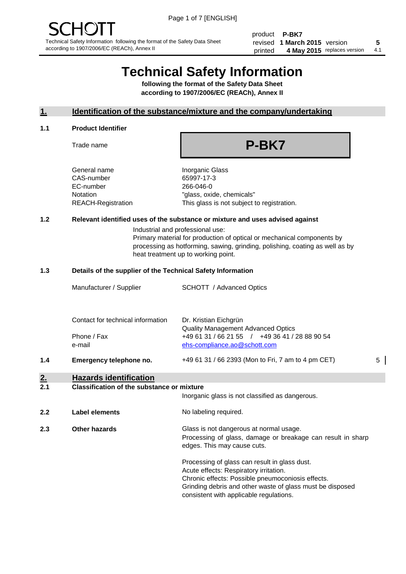product **P-BK7** revised **5 1 March 2015** version printed 4 May 2015 replaces version 4.1

# **Technical Safety Information**

**following the format of the Safety Data Sheet according to 1907/2006/EC (REACh), Annex II**

# **1. Identification of the substance/mixture and the company/undertaking**

#### **1.1 Product Identifier**

Trade name

# **P-BK7**

General name **Inorganic Glass** CAS-number 65997-17-3 EC-number 266-046-0

Notation "glass, oxide, chemicals" REACH-Registration This glass is not subject to registration.

# **1.2 Relevant identified uses of the substance or mixture and uses advised against**

Industrial and professional use: Primary material for production of optical or mechanical components by processing as hotforming, sawing, grinding, polishing, coating as well as by heat treatment up to working point.

# **1.3 Details of the supplier of the Technical Safety Information**

|                | Manufacturer / Supplier                                                          | <b>SCHOTT</b> / Advanced Optics                                                                                      |   |
|----------------|----------------------------------------------------------------------------------|----------------------------------------------------------------------------------------------------------------------|---|
|                | Contact for technical information<br>Phone / Fax                                 | Dr. Kristian Eichgrün<br><b>Quality Management Advanced Optics</b><br>+49 61 31 / 66 21 55 / +49 36 41 / 28 88 90 54 |   |
| 1.4            | e-mail<br>Emergency telephone no.                                                | ehs-compliance.ao@schott.com<br>+49 61 31 / 66 2393 (Mon to Fri, 7 am to 4 pm CET)                                   | 5 |
| 2.<br><b>.</b> | <b>Hazards identification</b><br>Alexabether them of the contratences on minimum |                                                                                                                      |   |

#### **2.1 Classification of the substance or mixture**

| <u>.</u> | oldssinganon of the substance of imature | Inorganic glass is not classified as dangerous.                                                                                                                                                                                                      |
|----------|------------------------------------------|------------------------------------------------------------------------------------------------------------------------------------------------------------------------------------------------------------------------------------------------------|
| 2.2      | Label elements                           | No labeling required.                                                                                                                                                                                                                                |
| 2.3      | Other hazards                            | Glass is not dangerous at normal usage.<br>Processing of glass, damage or breakage can result in sharp<br>edges. This may cause cuts.                                                                                                                |
|          |                                          | Processing of glass can result in glass dust.<br>Acute effects: Respiratory irritation.<br>Chronic effects: Possible pneumoconiosis effects.<br>Grinding debris and other waste of glass must be disposed<br>consistent with applicable regulations. |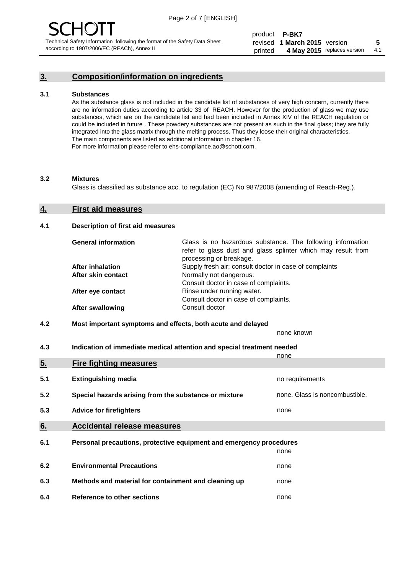# **3. Composition/information on ingredients**

#### **3.1 Substances**

As the substance glass is not included in the candidate list of substances of very high concern, currently there are no information duties according to article 33 of REACH. However for the production of glass we may use substances, which are on the candidate list and had been included in Annex XIV of the REACH regulation or could be included in future . These powdery substances are not present as such in the final glass; they are fully integrated into the glass matrix through the melting process. Thus they loose their original characteristics. The main components are listed as additional information in chapter 16. For more information please refer to ehs-compliance.ao@schott.com.

#### **3.2 Mixtures**

Glass is classified as substance acc. to regulation (EC) No 987/2008 (amending of Reach-Reg.).

## **4. First aid measures**

#### **4.1 Description of first aid measures**

| <b>General information</b> | Glass is no hazardous substance. The following information<br>refer to glass dust and glass splinter which may result from<br>processing or breakage. |
|----------------------------|-------------------------------------------------------------------------------------------------------------------------------------------------------|
| After inhalation           | Supply fresh air; consult doctor in case of complaints                                                                                                |
| After skin contact         | Normally not dangerous.                                                                                                                               |
|                            | Consult doctor in case of complaints.                                                                                                                 |
| After eye contact          | Rinse under running water.                                                                                                                            |
|                            | Consult doctor in case of complaints.                                                                                                                 |
| <b>After swallowing</b>    | Consult doctor                                                                                                                                        |

#### **4.2 Most important symptoms and effects, both acute and delayed**

none known

**4.3 Indication of immediate medical attention and special treatment needed** 

|     |                                                                     | none                           |
|-----|---------------------------------------------------------------------|--------------------------------|
| 5.  | <b>Fire fighting measures</b>                                       |                                |
| 5.1 | <b>Extinguishing media</b>                                          | no requirements                |
| 5.2 | Special hazards arising from the substance or mixture               | none. Glass is noncombustible. |
| 5.3 | <b>Advice for firefighters</b>                                      | none                           |
| 6.  | <b>Accidental release measures</b>                                  |                                |
| 6.1 | Personal precautions, protective equipment and emergency procedures |                                |
|     |                                                                     | none                           |
| 6.2 | <b>Environmental Precautions</b>                                    | none                           |
| 6.3 | Methods and material for containment and cleaning up                | none                           |
| 6.4 | Reference to other sections                                         | none                           |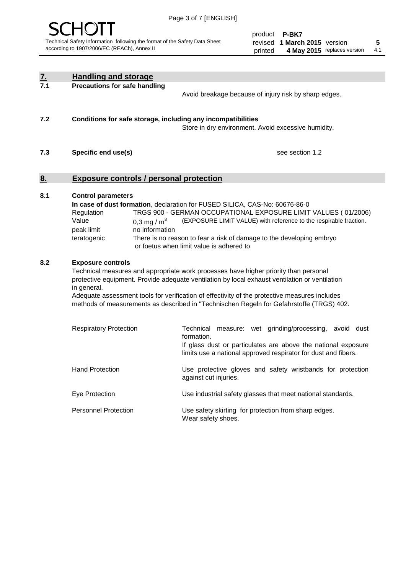

product **P-BK7** revised **5 1 March 2015** version printed 4 May 2015 replaces version 4.1

| <u>7.</u> | <b>Handling and storage</b>                                                                                       |                                                                                                                                                                                                                                                                                                                                                                                     |
|-----------|-------------------------------------------------------------------------------------------------------------------|-------------------------------------------------------------------------------------------------------------------------------------------------------------------------------------------------------------------------------------------------------------------------------------------------------------------------------------------------------------------------------------|
| 7.1       | <b>Precautions for safe handling</b>                                                                              | Avoid breakage because of injury risk by sharp edges.                                                                                                                                                                                                                                                                                                                               |
| 7.2       | Conditions for safe storage, including any incompatibilities                                                      | Store in dry environment. Avoid excessive humidity.                                                                                                                                                                                                                                                                                                                                 |
| 7.3       | Specific end use(s)                                                                                               | see section 1.2                                                                                                                                                                                                                                                                                                                                                                     |
| <u>8.</u> | <b>Exposure controls / personal protection</b>                                                                    |                                                                                                                                                                                                                                                                                                                                                                                     |
| 8.1       | <b>Control parameters</b><br>Regulation<br>Value<br>0.3 mg / $m^3$<br>no information<br>peak limit<br>teratogenic | In case of dust formation, declaration for FUSED SILICA, CAS-No: 60676-86-0<br>TRGS 900 - GERMAN OCCUPATIONAL EXPOSURE LIMIT VALUES (01/2006)<br>(EXPOSURE LIMIT VALUE) with reference to the respirable fraction.<br>There is no reason to fear a risk of damage to the developing embryo<br>or foetus when limit value is adhered to                                              |
| 8.2       | <b>Exposure controls</b><br>in general.                                                                           | Technical measures and appropriate work processes have higher priority than personal<br>protective equipment. Provide adequate ventilation by local exhaust ventilation or ventilation<br>Adequate assessment tools for verification of effectivity of the protective measures includes<br>methods of measurements as described in "Technischen Regeln for Gefahrstoffe (TRGS) 402. |
|           | <b>Respiratory Protection</b>                                                                                     | Technical measure: wet grinding/processing, avoid dust<br>formation.<br>If glass dust or particulates are above the national exposure<br>limits use a national approved respirator for dust and fibers.                                                                                                                                                                             |
|           | <b>Hand Protection</b>                                                                                            | Use protective gloves and safety wristbands for protection<br>against cut injuries.                                                                                                                                                                                                                                                                                                 |
|           | Eye Protection                                                                                                    | Use industrial safety glasses that meet national standards.                                                                                                                                                                                                                                                                                                                         |
|           | <b>Personnel Protection</b>                                                                                       | Use safety skirting for protection from sharp edges.<br>Wear safety shoes.                                                                                                                                                                                                                                                                                                          |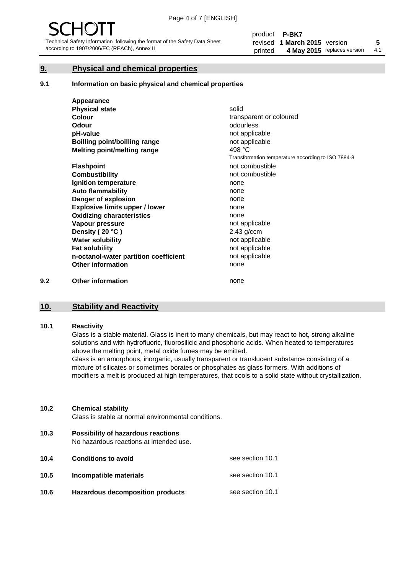# **9. Physical and chemical properties**

#### **9.1 Information on basic physical and chemical properties**

|     | Appearance                            |                                                    |
|-----|---------------------------------------|----------------------------------------------------|
|     | <b>Physical state</b>                 | solid                                              |
|     | <b>Colour</b>                         | transparent or coloured                            |
|     | Odour                                 | odourless                                          |
|     | pH-value                              | not applicable                                     |
|     | <b>Boilling point/boilling range</b>  | not applicable                                     |
|     | Melting point/melting range           | 498 °C                                             |
|     |                                       | Transformation temperature according to ISO 7884-8 |
|     | <b>Flashpoint</b>                     | not combustible                                    |
|     | <b>Combustibility</b>                 | not combustible                                    |
|     | Ignition temperature                  | none                                               |
|     | <b>Auto flammability</b>              | none                                               |
|     | Danger of explosion                   | none                                               |
|     | <b>Explosive limits upper / lower</b> | none                                               |
|     | <b>Oxidizing characteristics</b>      | none                                               |
|     | Vapour pressure                       | not applicable                                     |
|     | Density (20 °C)                       | $2,43$ g/ccm                                       |
|     | <b>Water solubility</b>               | not applicable                                     |
|     | <b>Fat solubility</b>                 | not applicable                                     |
|     | n-octanol-water partition coefficient | not applicable                                     |
|     | <b>Other information</b>              | none                                               |
| 9.2 | <b>Other information</b>              | none                                               |

# **10. Stability and Reactivity**

#### **10.1 Reactivity**

Glass is a stable material. Glass is inert to many chemicals, but may react to hot, strong alkaline solutions and with hydrofluoric, fluorosilicic and phosphoric acids. When heated to temperatures above the melting point, metal oxide fumes may be emitted.

Glass is an amorphous, inorganic, usually transparent or translucent substance consisting of a mixture of silicates or sometimes borates or phosphates as glass formers. With additions of modifiers a melt is produced at high temperatures, that cools to a solid state without crystallization.

#### **10.2 Chemical stability**

Glass is stable at normal environmental conditions.

**10.3 Possibility of hazardous reactions** 

No hazardous reactions at intended use.

| 10.4 | <b>Conditions to avoid</b>              | see section 10.1 |
|------|-----------------------------------------|------------------|
| 10.5 | Incompatible materials                  | see section 10.1 |
| 10.6 | <b>Hazardous decomposition products</b> | see section 10.1 |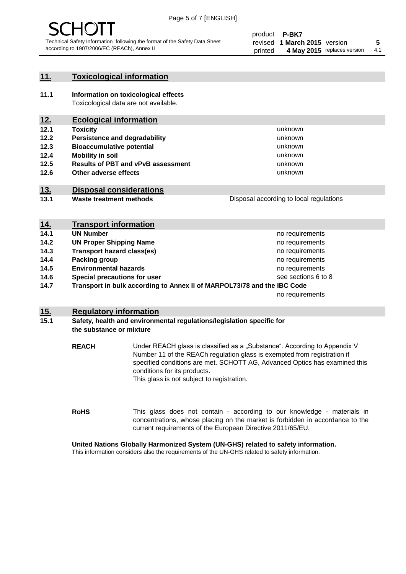

# **11. Toxicological information**

**11.1 Information on toxicological effects** Toxicological data are not available.

# **12. Ecological information**

- **12.1 Toxicity**
- **12.2 Persistence and degradability**
- **12.3 Bioaccumulative potential**
- **12.4 Mobility in soil**
- **12.5 Results of PBT and vPvB assessment**
- **12.6 Other adverse effects**

# **13. Disposal considerations**

**13.1 Waste treatment methods**

Disposal according to local regulations

unknown unknown unknown unknown

unknown unknown

| <u>14.</u> | <b>Transport information</b>                                            |                     |
|------------|-------------------------------------------------------------------------|---------------------|
| 14.1       | <b>UN Number</b>                                                        | no requirements     |
| 14.2       | <b>UN Proper Shipping Name</b>                                          | no requirements     |
| 14.3       | <b>Transport hazard class(es)</b>                                       | no requirements     |
| 14.4       | Packing group                                                           | no requirements     |
| 14.5       | <b>Environmental hazards</b>                                            | no requirements     |
| 14.6       | Special precautions for user                                            | see sections 6 to 8 |
| 14.7       | Transport in bulk according to Annex II of MARPOL73/78 and the IBC Code |                     |
|            |                                                                         | no requirements     |

# **15. Regulatory information**

# **15.1 Safety, health and environmental regulations/legislation specific for the substance or mixture**

**REACH** Under REACH glass is classified as a "Substance". According to Appendix V Number 11 of the REACh regulation glass is exempted from registration if specified conditions are met. SCHOTT AG, Advanced Optics has examined this conditions for its products. This glass is not subject to registration.

**RoHS** This glass does not contain - according to our knowledge - materials in concentrations, whose placing on the market is forbidden in accordance to the current requirements of the European Directive 2011/65/EU.

# **United Nations Globally Harmonized System (UN-GHS) related to safety information.**

This information considers also the requirements of the UN-GHS related to safety information.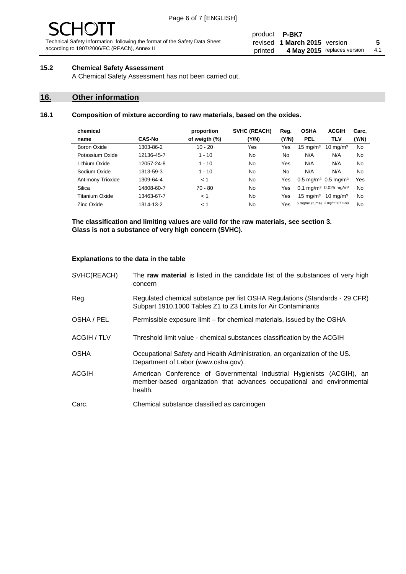#### product **P-BK7** revised **5 1 March 2015** version printed 4 May 2015 replaces version 4.1

# **15.2 Chemical Safety Assessment**

A Chemical Safety Assessment has not been carried out.

# **16. Other information**

# **16.1 Composition of mixture according to raw materials, based on the oxides.**

| chemical                 |               | proportion    | <b>SVHC (REACH)</b> | Reg.  | <b>OSHA</b>                                             | <b>ACGIH</b>        | Carc. |
|--------------------------|---------------|---------------|---------------------|-------|---------------------------------------------------------|---------------------|-------|
| name                     | <b>CAS-No</b> | of weigth (%) | (Y/N)               | (Y/N) | <b>PEL</b>                                              | TLV                 | (Y/N) |
| Boron Oxide              | 1303-86-2     | $10 - 20$     | Yes                 | Yes   | $15 \text{ mg/m}^3$                                     | $10 \text{ mg/m}^3$ | No    |
| Potassium Oxide          | 12136-45-7    | $1 - 10$      | No                  | No.   | N/A                                                     | N/A                 | No    |
| Lithium Oxide            | 12057-24-8    | $1 - 10$      | No                  | Yes   | N/A                                                     | N/A                 | No    |
| Sodium Oxide             | 1313-59-3     | $1 - 10$      | No                  | No    | N/A                                                     | N/A                 | No    |
| <b>Antimony Trioxide</b> | 1309-64-4     | < 1           | No                  | Yes   | $0.5 \,\mathrm{mq/m^3}$ 0.5 mg/m <sup>3</sup>           |                     | Yes   |
| Silica                   | 14808-60-7    | $70 - 80$     | No                  | Yes   | 0.1 mg/m <sup>3</sup> 0.025 mg/m <sup>3</sup>           |                     | No    |
| Titanium Oxide           | 13463-67-7    | < 1           | No                  | Yes   | $15 \text{ mg/m}^3$                                     | $10 \text{ ma/m}^3$ | No    |
| Zinc Oxide               | 1314-13-2     | < 1           | No                  | Yes   | 5 mg/m <sup>3</sup> (fume) 2 mg/m <sup>3</sup> (R dust) |                     | No    |
|                          |               |               |                     |       |                                                         |                     |       |

**The classification and limiting values are valid for the raw materials, see section 3. Glass is not a substance of very high concern (SVHC).**

## **Explanations to the data in the table**

| SVHC(REACH)        | The raw material is listed in the candidate list of the substances of very high<br>concern                                                                 |
|--------------------|------------------------------------------------------------------------------------------------------------------------------------------------------------|
| Reg.               | Regulated chemical substance per list OSHA Regulations (Standards - 29 CFR)<br>Subpart 1910.1000 Tables Z1 to Z3 Limits for Air Contaminants               |
| OSHA / PEL         | Permissible exposure limit – for chemical materials, issued by the OSHA                                                                                    |
| <b>ACGIH / TLV</b> | Threshold limit value - chemical substances classification by the ACGIH                                                                                    |
| <b>OSHA</b>        | Occupational Safety and Health Administration, an organization of the US.<br>Department of Labor (www.osha.gov).                                           |
| <b>ACGIH</b>       | American Conference of Governmental Industrial Hygienists (ACGIH), an<br>member-based organization that advances occupational and environmental<br>health. |
| Carc.              | Chemical substance classified as carcinogen                                                                                                                |